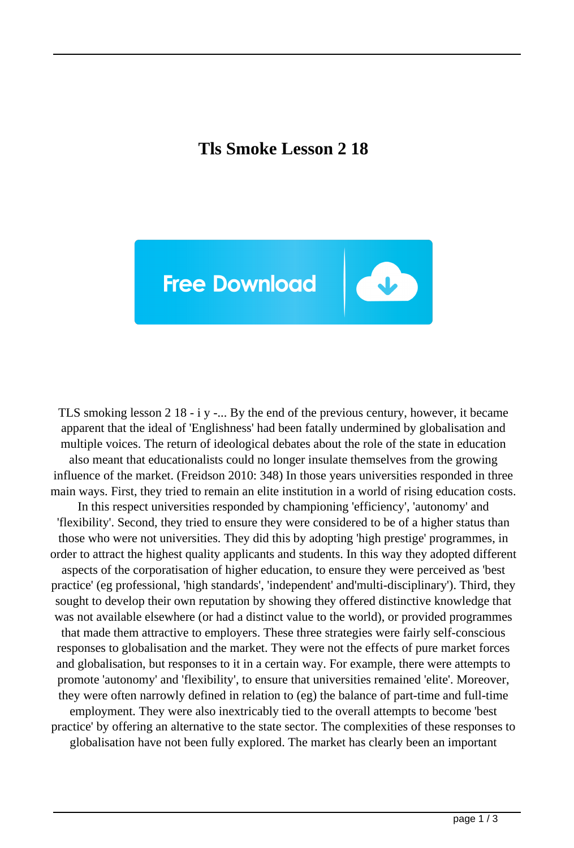## **Tls Smoke Lesson 2 18**



TLS smoking lesson 2 18 - i y -... By the end of the previous century, however, it became apparent that the ideal of 'Englishness' had been fatally undermined by globalisation and multiple voices. The return of ideological debates about the role of the state in education also meant that educationalists could no longer insulate themselves from the growing influence of the market. (Freidson 2010: 348) In those years universities responded in three main ways. First, they tried to remain an elite institution in a world of rising education costs. In this respect universities responded by championing 'efficiency', 'autonomy' and 'flexibility'. Second, they tried to ensure they were considered to be of a higher status than those who were not universities. They did this by adopting 'high prestige' programmes, in order to attract the highest quality applicants and students. In this way they adopted different aspects of the corporatisation of higher education, to ensure they were perceived as 'best practice' (eg professional, 'high standards', 'independent' and'multi-disciplinary'). Third, they sought to develop their own reputation by showing they offered distinctive knowledge that was not available elsewhere (or had a distinct value to the world), or provided programmes that made them attractive to employers. These three strategies were fairly self-conscious responses to globalisation and the market. They were not the effects of pure market forces and globalisation, but responses to it in a certain way. For example, there were attempts to promote 'autonomy' and 'flexibility', to ensure that universities remained 'elite'. Moreover, they were often narrowly defined in relation to (eg) the balance of part-time and full-time employment. They were also inextricably tied to the overall attempts to become 'best practice' by offering an alternative to the state sector. The complexities of these responses to globalisation have not been fully explored. The market has clearly been an important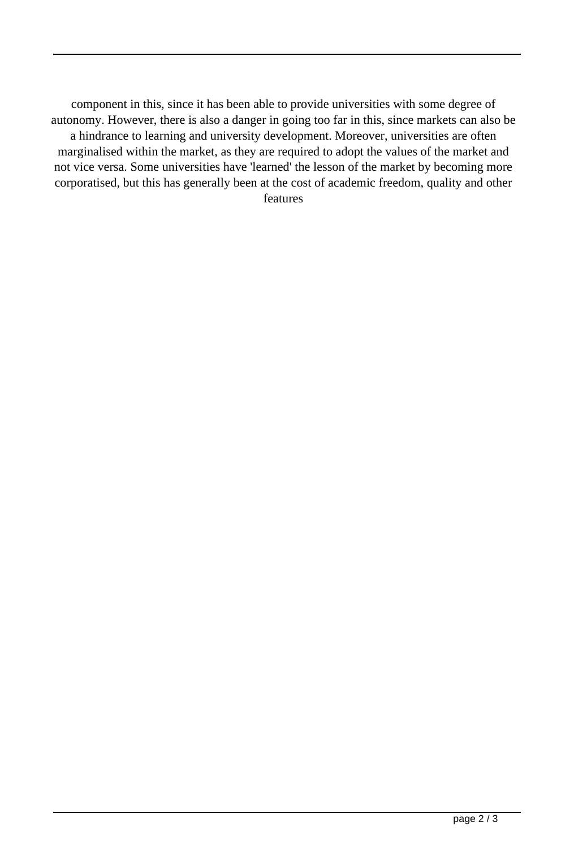component in this, since it has been able to provide universities with some degree of autonomy. However, there is also a danger in going too far in this, since markets can also be a hindrance to learning and university development. Moreover, universities are often marginalised within the market, as they are required to adopt the values of the market and not vice versa. Some universities have 'learned' the lesson of the market by becoming more corporatised, but this has generally been at the cost of academic freedom, quality and other features